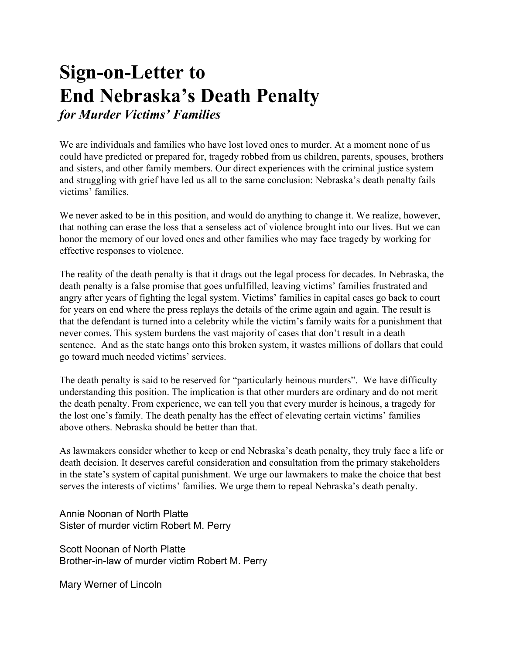## **Sign-on-Letter to End Nebraska's Death Penalty** *for Murder Victims' Families*

We are individuals and families who have lost loved ones to murder. At a moment none of us could have predicted or prepared for, tragedy robbed from us children, parents, spouses, brothers and sisters, and other family members. Our direct experiences with the criminal justice system and struggling with grief have led us all to the same conclusion: Nebraska's death penalty fails victims' families.

We never asked to be in this position, and would do anything to change it. We realize, however, that nothing can erase the loss that a senseless act of violence brought into our lives. But we can honor the memory of our loved ones and other families who may face tragedy by working for effective responses to violence.

The reality of the death penalty is that it drags out the legal process for decades. In Nebraska, the death penalty is a false promise that goes unfulfilled, leaving victims' families frustrated and angry after years of fighting the legal system. Victims' families in capital cases go back to court for years on end where the press replays the details of the crime again and again. The result is that the defendant is turned into a celebrity while the victim's family waits for a punishment that never comes. This system burdens the vast majority of cases that don't result in a death sentence. And as the state hangs onto this broken system, it wastes millions of dollars that could go toward much needed victims' services.

The death penalty is said to be reserved for "particularly heinous murders". We have difficulty understanding this position. The implication is that other murders are ordinary and do not merit the death penalty. From experience, we can tell you that every murder is heinous, a tragedy for the lost one's family. The death penalty has the effect of elevating certain victims' families above others. Nebraska should be better than that.

As lawmakers consider whether to keep or end Nebraska's death penalty, they truly face a life or death decision. It deserves careful consideration and consultation from the primary stakeholders in the state's system of capital punishment. We urge our lawmakers to make the choice that best serves the interests of victims' families. We urge them to repeal Nebraska's death penalty.

Annie Noonan of North Platte Sister of murder victim Robert M. Perry

Scott Noonan of North Platte Brother-in-law of murder victim Robert M. Perry

Mary Werner of Lincoln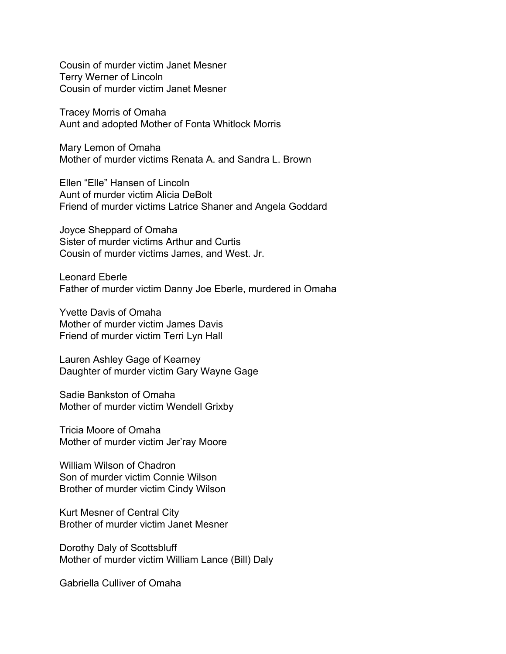Cousin of murder victim Janet Mesner Terry Werner of Lincoln Cousin of murder victim Janet Mesner

Tracey Morris of Omaha Aunt and adopted Mother of Fonta Whitlock Morris

Mary Lemon of Omaha Mother of murder victims Renata A. and Sandra L. Brown

Ellen "Elle" Hansen of Lincoln Aunt of murder victim Alicia DeBolt Friend of murder victims Latrice Shaner and Angela Goddard

Joyce Sheppard of Omaha Sister of murder victims Arthur and Curtis Cousin of murder victims James, and West. Jr.

Leonard Eberle Father of murder victim Danny Joe Eberle, murdered in Omaha

Yvette Davis of Omaha Mother of murder victim James Davis Friend of murder victim Terri Lyn Hall

Lauren Ashley Gage of Kearney Daughter of murder victim Gary Wayne Gage

Sadie Bankston of Omaha Mother of murder victim Wendell Grixby

Tricia Moore of Omaha Mother of murder victim Jer'ray Moore

William Wilson of Chadron Son of murder victim Connie Wilson Brother of murder victim Cindy Wilson

Kurt Mesner of Central City Brother of murder victim Janet Mesner

Dorothy Daly of Scottsbluff Mother of murder victim William Lance (Bill) Daly

Gabriella Culliver of Omaha